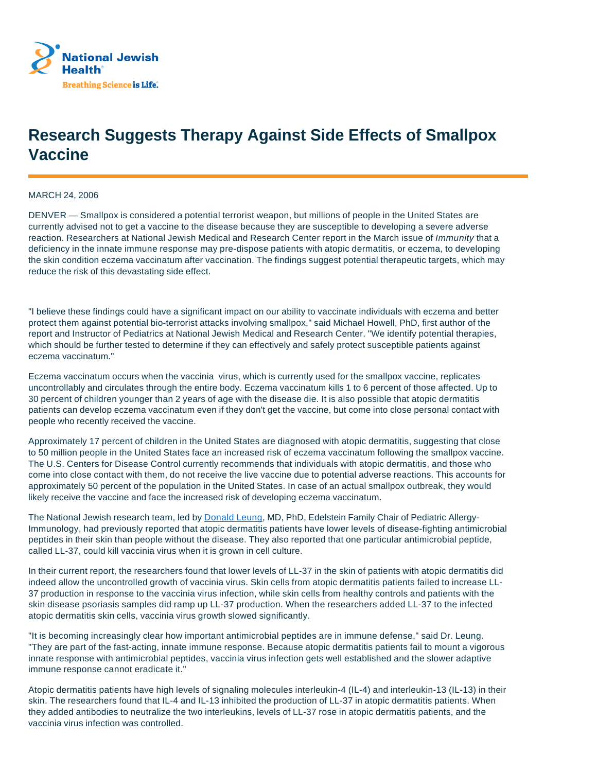

## **Research Suggests Therapy Against Side Effects of Smallpox Vaccine**

## MARCH 24, 2006

DENVER — Smallpox is considered a potential terrorist weapon, but millions of people in the United States are currently advised not to get a vaccine to the disease because they are susceptible to developing a severe adverse reaction. Researchers at National Jewish Medical and Research Center report in the March issue of Immunity that a deficiency in the innate immune response may pre-dispose patients with atopic dermatitis, or eczema, to developing the skin condition eczema vaccinatum after vaccination. The findings suggest potential therapeutic targets, which may reduce the risk of this devastating side effect.

"I believe these findings could have a significant impact on our ability to vaccinate individuals with eczema and better protect them against potential bio-terrorist attacks involving smallpox," said Michael Howell, PhD, first author of the report and Instructor of Pediatrics at National Jewish Medical and Research Center. "We identify potential therapies, which should be further tested to determine if they can effectively and safely protect susceptible patients against eczema vaccinatum."

Eczema vaccinatum occurs when the vaccinia virus, which is currently used for the smallpox vaccine, replicates uncontrollably and circulates through the entire body. Eczema vaccinatum kills 1 to 6 percent of those affected. Up to 30 percent of children younger than 2 years of age with the disease die. It is also possible that atopic dermatitis patients can develop eczema vaccinatum even if they don't get the vaccine, but come into close personal contact with people who recently received the vaccine.

Approximately 17 percent of children in the United States are diagnosed with atopic dermatitis, suggesting that close to 50 million people in the United States face an increased risk of eczema vaccinatum following the smallpox vaccine. The U.S. Centers for Disease Control currently recommends that individuals with atopic dermatitis, and those who come into close contact with them, do not receive the live vaccine due to potential adverse reactions. This accounts for approximately 50 percent of the population in the United States. In case of an actual smallpox outbreak, they would likely receive the vaccine and face the increased risk of developing eczema vaccinatum.

The National Jewish research team, led by Donald Leung, MD, PhD, Edelstein Family Chair of Pediatric Allergy-Immunology, had previously reported that atopic dermatitis patients have lower levels of disease-fighting antimicrobial peptides in their skin than people without the disease. They also reported that one particular antimicrobial peptide, called LL-37, could kill vaccinia virus when it is grown in cell culture.

In their current report, the researchers found that lower levels of LL-37 in the skin of patients with atopic dermatitis did indeed allow the uncontrolled growth of vaccinia virus. Skin cells from atopic dermatitis patients failed to increase LL-37 production in response to the vaccinia virus infection, while skin cells from healthy controls and patients with the skin disease psoriasis samples did ramp up LL-37 production. When the researchers added LL-37 to the infected atopic dermatitis skin cells, vaccinia virus growth slowed significantly.

"It is becoming increasingly clear how important antimicrobial peptides are in immune defense," said Dr. Leung. "They are part of the fast-acting, innate immune response. Because atopic dermatitis patients fail to mount a vigorous innate response with antimicrobial peptides, vaccinia virus infection gets well established and the slower adaptive immune response cannot eradicate it."

Atopic dermatitis patients have high levels of signaling molecules interleukin-4 (IL-4) and interleukin-13 (IL-13) in their skin. The researchers found that IL-4 and IL-13 inhibited the production of LL-37 in atopic dermatitis patients. When they added antibodies to neutralize the two interleukins, levels of LL-37 rose in atopic dermatitis patients, and the vaccinia virus infection was controlled.